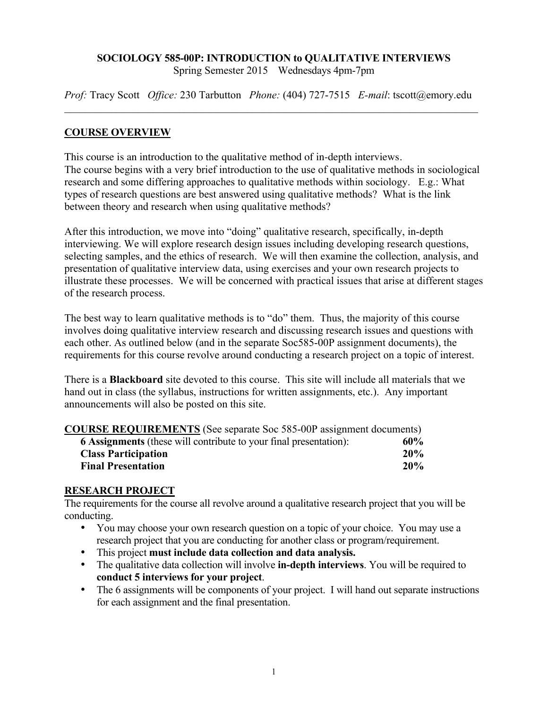# **SOCIOLOGY 585-00P: INTRODUCTION to QUALITATIVE INTERVIEWS**

Spring Semester 2015 Wednesdays 4pm-7pm

*Prof:* Tracy Scott *Office:* 230 Tarbutton *Phone:* (404) 727-7515 *E-mail*: tscott@emory.edu  $\mathcal{L}_\mathcal{L} = \{ \mathcal{L}_\mathcal{L} = \{ \mathcal{L}_\mathcal{L} = \{ \mathcal{L}_\mathcal{L} = \{ \mathcal{L}_\mathcal{L} = \{ \mathcal{L}_\mathcal{L} = \{ \mathcal{L}_\mathcal{L} = \{ \mathcal{L}_\mathcal{L} = \{ \mathcal{L}_\mathcal{L} = \{ \mathcal{L}_\mathcal{L} = \{ \mathcal{L}_\mathcal{L} = \{ \mathcal{L}_\mathcal{L} = \{ \mathcal{L}_\mathcal{L} = \{ \mathcal{L}_\mathcal{L} = \{ \mathcal{L}_\mathcal{$ 

## **COURSE OVERVIEW**

This course is an introduction to the qualitative method of in-depth interviews. The course begins with a very brief introduction to the use of qualitative methods in sociological research and some differing approaches to qualitative methods within sociology. E.g.: What types of research questions are best answered using qualitative methods? What is the link between theory and research when using qualitative methods?

After this introduction, we move into "doing" qualitative research, specifically, in-depth interviewing. We will explore research design issues including developing research questions, selecting samples, and the ethics of research. We will then examine the collection, analysis, and presentation of qualitative interview data, using exercises and your own research projects to illustrate these processes. We will be concerned with practical issues that arise at different stages of the research process.

The best way to learn qualitative methods is to "do" them. Thus, the majority of this course involves doing qualitative interview research and discussing research issues and questions with each other. As outlined below (and in the separate Soc585-00P assignment documents), the requirements for this course revolve around conducting a research project on a topic of interest.

There is a **Blackboard** site devoted to this course. This site will include all materials that we hand out in class (the syllabus, instructions for written assignments, etc.). Any important announcements will also be posted on this site.

|  | <b>COURSE REQUIREMENTS</b> (See separate Soc 585-00P assignment documents) |  |  |
|--|----------------------------------------------------------------------------|--|--|
|--|----------------------------------------------------------------------------|--|--|

| <b>6 Assignments</b> (these will contribute to your final presentation): | 60% |
|--------------------------------------------------------------------------|-----|
| <b>Class Participation</b>                                               | 20% |
| <b>Final Presentation</b>                                                | 20% |

### **RESEARCH PROJECT**

The requirements for the course all revolve around a qualitative research project that you will be conducting.

- You may choose your own research question on a topic of your choice. You may use a research project that you are conducting for another class or program/requirement.
- This project **must include data collection and data analysis.**
- The qualitative data collection will involve **in-depth interviews**. You will be required to **conduct 5 interviews for your project**.
- The 6 assignments will be components of your project. I will hand out separate instructions for each assignment and the final presentation.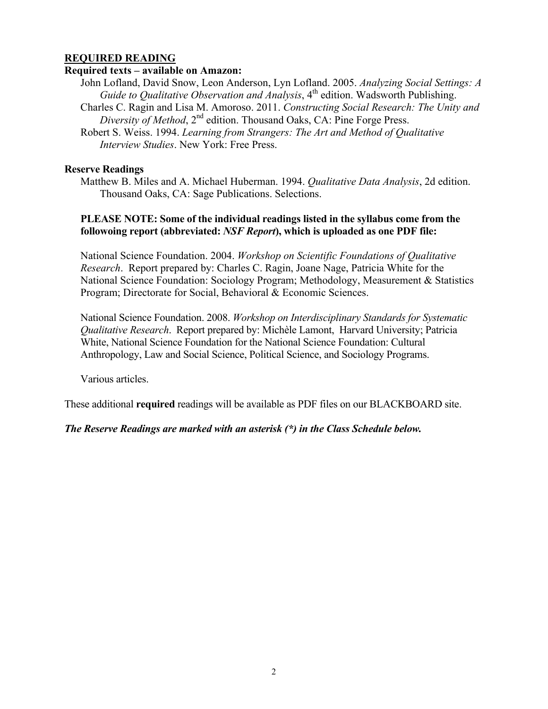## **REQUIRED READING**

#### **Required texts – available on Amazon:**

- John Lofland, David Snow, Leon Anderson, Lyn Lofland. 2005. *Analyzing Social Settings: A Guide to Qualitative Observation and Analysis*, 4<sup>th</sup> edition. Wadsworth Publishing.
- Charles C. Ragin and Lisa M. Amoroso. 2011. *Constructing Social Research: The Unity and Diversity of Method*, 2nd edition. Thousand Oaks, CA: Pine Forge Press.
- Robert S. Weiss. 1994. *Learning from Strangers: The Art and Method of Qualitative Interview Studies*. New York: Free Press.

#### **Reserve Readings**

Matthew B. Miles and A. Michael Huberman. 1994. *Qualitative Data Analysis*, 2d edition. Thousand Oaks, CA: Sage Publications. Selections.

### **PLEASE NOTE: Some of the individual readings listed in the syllabus come from the followoing report (abbreviated:** *NSF Report***), which is uploaded as one PDF file:**

National Science Foundation. 2004. *Workshop on Scientific Foundations of Qualitative Research*. Report prepared by: Charles C. Ragin, Joane Nage, Patricia White for the National Science Foundation: Sociology Program; Methodology, Measurement & Statistics Program; Directorate for Social, Behavioral & Economic Sciences.

National Science Foundation. 2008. *Workshop on Interdisciplinary Standards for Systematic Qualitative Research*. Report prepared by: Michèle Lamont, Harvard University; Patricia White, National Science Foundation for the National Science Foundation: Cultural Anthropology, Law and Social Science, Political Science, and Sociology Programs.

Various articles.

These additional **required** readings will be available as PDF files on our BLACKBOARD site.

## *The Reserve Readings are marked with an asterisk (\*) in the Class Schedule below.*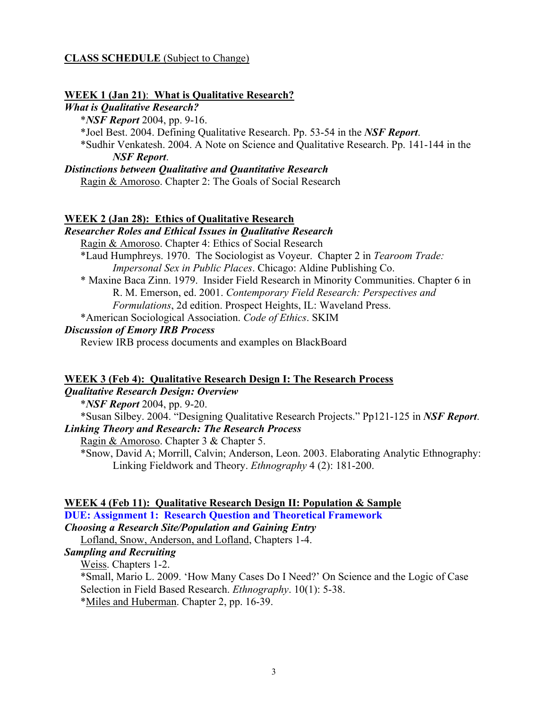#### **CLASS SCHEDULE** (Subject to Change)

#### **WEEK 1 (Jan 21)**: **What is Qualitative Research?**

#### *What is Qualitative Research?*

\**NSF Report* 2004, pp. 9-16.

\*Joel Best. 2004. Defining Qualitative Research. Pp. 53-54 in the *NSF Report*.

\*Sudhir Venkatesh. 2004. A Note on Science and Qualitative Research. Pp. 141-144 in the *NSF Report*.

#### *Distinctions between Qualitative and Quantitative Research*

Ragin & Amoroso. Chapter 2: The Goals of Social Research

## **WEEK 2 (Jan 28): Ethics of Qualitative Research**

*Researcher Roles and Ethical Issues in Qualitative Research*

Ragin & Amoroso. Chapter 4: Ethics of Social Research

\*Laud Humphreys. 1970. The Sociologist as Voyeur. Chapter 2 in *Tearoom Trade: Impersonal Sex in Public Places*. Chicago: Aldine Publishing Co.

\* Maxine Baca Zinn. 1979. Insider Field Research in Minority Communities. Chapter 6 in R. M. Emerson, ed. 2001. *Contemporary Field Research: Perspectives and Formulations*, 2d edition. Prospect Heights, IL: Waveland Press.

\*American Sociological Association. *Code of Ethics*. SKIM

## *Discussion of Emory IRB Process*

Review IRB process documents and examples on BlackBoard

#### **WEEK 3 (Feb 4): Qualitative Research Design I: The Research Process**

# *Qualitative Research Design: Overview*

\**NSF Report* 2004, pp. 9-20.

\*Susan Silbey. 2004. "Designing Qualitative Research Projects." Pp121-125 in *NSF Report*. *Linking Theory and Research: The Research Process*

Ragin & Amoroso. Chapter 3 & Chapter 5.

\*Snow, David A; Morrill, Calvin; Anderson, Leon. 2003. Elaborating Analytic Ethnography: Linking Fieldwork and Theory. *Ethnography* 4 (2): 181-200.

#### **WEEK 4 (Feb 11): Qualitative Research Design II: Population & Sample DUE: Assignment 1: Research Question and Theoretical Framework**

*Choosing a Research Site/Population and Gaining Entry*

Lofland, Snow, Anderson, and Lofland, Chapters 1-4.

## *Sampling and Recruiting*

Weiss. Chapters 1-2.

\*Small, Mario L. 2009. 'How Many Cases Do I Need?' On Science and the Logic of Case Selection in Field Based Research. *Ethnography*. 10(1): 5-38. \*Miles and Huberman. Chapter 2, pp. 16-39.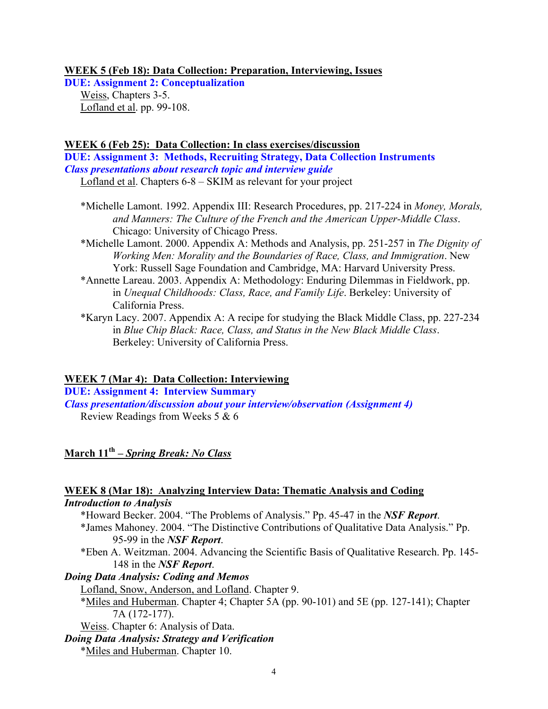### **WEEK 5 (Feb 18): Data Collection: Preparation, Interviewing, Issues**

**DUE: Assignment 2: Conceptualization**  Weiss, Chapters 3-5. Lofland et al. pp. 99-108.

## **WEEK 6 (Feb 25): Data Collection: In class exercises/discussion**

**DUE: Assignment 3: Methods, Recruiting Strategy, Data Collection Instruments**  *Class presentations about research topic and interview guide*

Lofland et al. Chapters 6-8 – SKIM as relevant for your project

- \*Michelle Lamont. 1992. Appendix III: Research Procedures, pp. 217-224 in *Money, Morals, and Manners: The Culture of the French and the American Upper-Middle Class*. Chicago: University of Chicago Press.
- \*Michelle Lamont. 2000. Appendix A: Methods and Analysis, pp. 251-257 in *The Dignity of Working Men: Morality and the Boundaries of Race, Class, and Immigration*. New York: Russell Sage Foundation and Cambridge, MA: Harvard University Press.
- \*Annette Lareau. 2003. Appendix A: Methodology: Enduring Dilemmas in Fieldwork, pp. in *Unequal Childhoods: Class, Race, and Family Life*. Berkeley: University of California Press.
- \*Karyn Lacy. 2007. Appendix A: A recipe for studying the Black Middle Class, pp. 227-234 in *Blue Chip Black: Race, Class, and Status in the New Black Middle Class*. Berkeley: University of California Press.

### **WEEK 7 (Mar 4): Data Collection: Interviewing**

**DUE: Assignment 4: Interview Summary**  *Class presentation/discussion about your interview/observation (Assignment 4)* Review Readings from Weeks 5 & 6

# **March 11th –** *Spring Break: No Class*

#### **WEEK 8 (Mar 18): Analyzing Interview Data: Thematic Analysis and Coding** *Introduction to Analysis*

- \*Howard Becker. 2004. "The Problems of Analysis." Pp. 45-47 in the *NSF Report*.
	- \*James Mahoney. 2004. "The Distinctive Contributions of Qualitative Data Analysis." Pp. 95-99 in the *NSF Report*.
	- \*Eben A. Weitzman. 2004. Advancing the Scientific Basis of Qualitative Research. Pp. 145- 148 in the *NSF Report*.

## *Doing Data Analysis: Coding and Memos*

Lofland, Snow, Anderson, and Lofland. Chapter 9.

\*Miles and Huberman. Chapter 4; Chapter 5A (pp. 90-101) and 5E (pp. 127-141); Chapter 7A (172-177).

Weiss. Chapter 6: Analysis of Data.

*Doing Data Analysis: Strategy and Verification*

\*Miles and Huberman. Chapter 10.